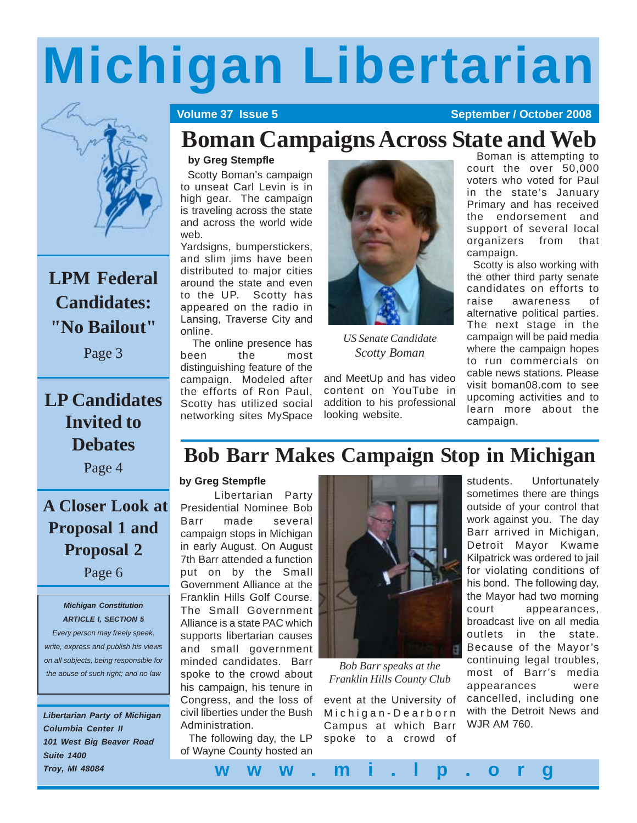# **Michigan Libertarian**



#### **LPM Federal Candidates: "No Bailout"**

Page 3

#### **LP Candidates Invited to Debates**

Page 4

#### **A Closer Look at Proposal 1 and Proposal 2**

Page 6

#### *Michigan Constitution ARTICLE I, SECTION 5*

*Every person may freely speak, write, express and publish his views on all subjects, being responsible for the abuse of such right; and no law*

*Libertarian Party of Michigan Columbia Center II 101 West Big Beaver Road Suite 1400 Troy, MI 48084*

#### **Volume 37 Issue 5 September / October 2008**

#### **Boman Campaigns Across State and Web**

#### **by Greg Stempfle**

 Scotty Boman's campaign to unseat Carl Levin is in high gear. The campaign is traveling across the state and across the world wide web.

Yardsigns, bumperstickers, and slim jims have been distributed to major cities around the state and even to the UP. Scotty has appeared on the radio in Lansing, Traverse City and online.

 The online presence has been the most distinguishing feature of the campaign. Modeled after the efforts of Ron Paul, Scotty has utilized social networking sites MySpace



*US Senate Candidate Scotty Boman*

and MeetUp and has video content on YouTube in addition to his professional looking website.

 Boman is attempting to court the over 50,000 voters who voted for Paul in the state's January Primary and has received the endorsement and support of several local organizers from that campaign.

 Scotty is also working with the other third party senate candidates on efforts to raise awareness of alternative political parties. The next stage in the campaign will be paid media where the campaign hopes to run commercials on cable news stations. Please visit boman08.com to see upcoming activities and to learn more about the campaign.

#### **Bob Barr Makes Campaign Stop in Michigan**

 Libertarian Party Presidential Nominee Bob Barr made several campaign stops in Michigan in early August. On August 7th Barr attended a function put on by the Small Government Alliance at the Franklin Hills Golf Course. The Small Government Alliance is a state PAC which supports libertarian causes and small government minded candidates. Barr spoke to the crowd about his campaign, his tenure in Congress, and the loss of civil liberties under the Bush Administration.

 The following day, the LP of Wayne County hosted an



*Bob Barr speaks at the Franklin Hills County Club*

event at the University of Michigan-Dearborn Campus at which Barr spoke to a crowd of

sometimes there are things outside of your control that work against you. The day Barr arrived in Michigan, Detroit Mayor Kwame Kilpatrick was ordered to jail for violating conditions of his bond. The following day, the Mayor had two morning court appearances, broadcast live on all media outlets in the state. Because of the Mayor's continuing legal troubles, most of Barr's media appearances were cancelled, including one with the Detroit News and WJR AM 760.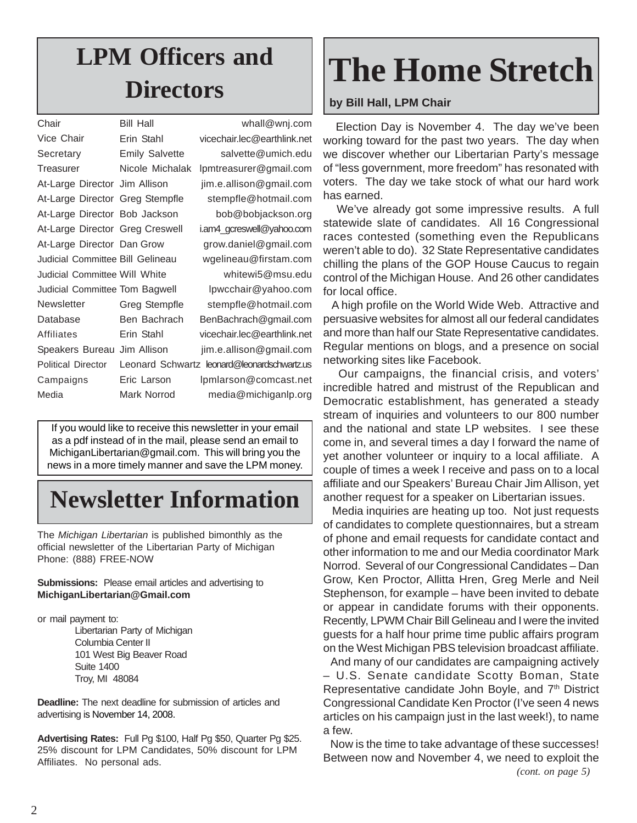# **LPM Officers and**

| Chair                                | <b>Bill Hall</b>      | whall@wnj.com                               |
|--------------------------------------|-----------------------|---------------------------------------------|
| Vice Chair                           | Erin Stahl            | vicechair.lec@earthlink.net                 |
| Secretary                            | <b>Emily Salvette</b> | salvette@umich.edu                          |
| Treasurer                            | Nicole Michalak       | lpmtreasurer@gmail.com                      |
| At-Large Director Jim Allison        |                       | jim.e.allison@gmail.com                     |
| At-Large Director Greg Stempfle      |                       | stempfle@hotmail.com                        |
| At-Large Director Bob Jackson        |                       | bob@bobjackson.org                          |
| At-Large Director Greg Creswell      |                       | i.am4_gcreswell@yahoo.com                   |
| At-Large Director Dan Grow           |                       | grow.daniel@gmail.com                       |
| Judicial Committee Bill Gelineau     |                       | wgelineau@firstam.com                       |
| <b>Judicial Committee Will White</b> |                       | whitewi5@msu.edu                            |
| Judicial Committee Tom Bagwell       |                       | lpwcchair@yahoo.com                         |
| Newsletter                           | Greg Stempfle         | stempfle@hotmail.com                        |
| Database                             | Ben Bachrach          | BenBachrach@gmail.com                       |
| Affiliates                           | Erin Stahl            | vicechair.lec@earthlink.net                 |
| Speakers Bureau                      | Jim Allison           | jim.e.allison@gmail.com                     |
| <b>Political Director</b>            |                       | Leonard Schwartz leonard@leonardschwartz.us |
| Campaigns                            | Eric Larson           | Ipmlarson@comcast.net                       |
| Media                                | Mark Norrod           | media@michiganlp.org                        |
|                                      |                       |                                             |

If you would like to receive this newsletter in your email as a pdf instead of in the mail, please send an email to MichiganLibertarian@gmail.com. This will bring you the news in a more timely manner and save the LPM money.

## **Newsletter Information**

The *Michigan Libertarian* is published bimonthly as the official newsletter of the Libertarian Party of Michigan Phone: (888) FREE-NOW

#### **Submissions:** Please email articles and advertising to **MichiganLibertarian@Gmail.com**

or mail payment to:

Libertarian Party of Michigan Columbia Center II 101 West Big Beaver Road Suite 1400 Troy, MI 48084

**Deadline:** The next deadline for submission of articles and advertising is November 14, 2008.

**Advertising Rates:** Full Pg \$100, Half Pg \$50, Quarter Pg \$25. 25% discount for LPM Candidates, 50% discount for LPM Affiliates. No personal ads.

## **Directors The Home Stretch**

**by Bill Hall, LPM Chair**

 Election Day is November 4. The day we've been working toward for the past two years. The day when we discover whether our Libertarian Party's message of "less government, more freedom" has resonated with voters. The day we take stock of what our hard work has earned.

 We've already got some impressive results. A full statewide slate of candidates. All 16 Congressional races contested (something even the Republicans weren't able to do). 32 State Representative candidates chilling the plans of the GOP House Caucus to regain control of the Michigan House. And 26 other candidates for local office.

 A high profile on the World Wide Web. Attractive and persuasive websites for almost all our federal candidates and more than half our State Representative candidates. Regular mentions on blogs, and a presence on social networking sites like Facebook.

 Our campaigns, the financial crisis, and voters' incredible hatred and mistrust of the Republican and Democratic establishment, has generated a steady stream of inquiries and volunteers to our 800 number and the national and state LP websites. I see these come in, and several times a day I forward the name of yet another volunteer or inquiry to a local affiliate. A couple of times a week I receive and pass on to a local affiliate and our Speakers' Bureau Chair Jim Allison, yet another request for a speaker on Libertarian issues.

 Media inquiries are heating up too. Not just requests of candidates to complete questionnaires, but a stream of phone and email requests for candidate contact and other information to me and our Media coordinator Mark Norrod. Several of our Congressional Candidates – Dan Grow, Ken Proctor, Allitta Hren, Greg Merle and Neil Stephenson, for example – have been invited to debate or appear in candidate forums with their opponents. Recently, LPWM Chair Bill Gelineau and I were the invited guests for a half hour prime time public affairs program on the West Michigan PBS television broadcast affiliate.

 And many of our candidates are campaigning actively – U.S. Senate candidate Scotty Boman, State Representative candidate John Boyle, and 7<sup>th</sup> District Congressional Candidate Ken Proctor (I've seen 4 news articles on his campaign just in the last week!), to name a few.

 Now is the time to take advantage of these successes! Between now and November 4, we need to exploit the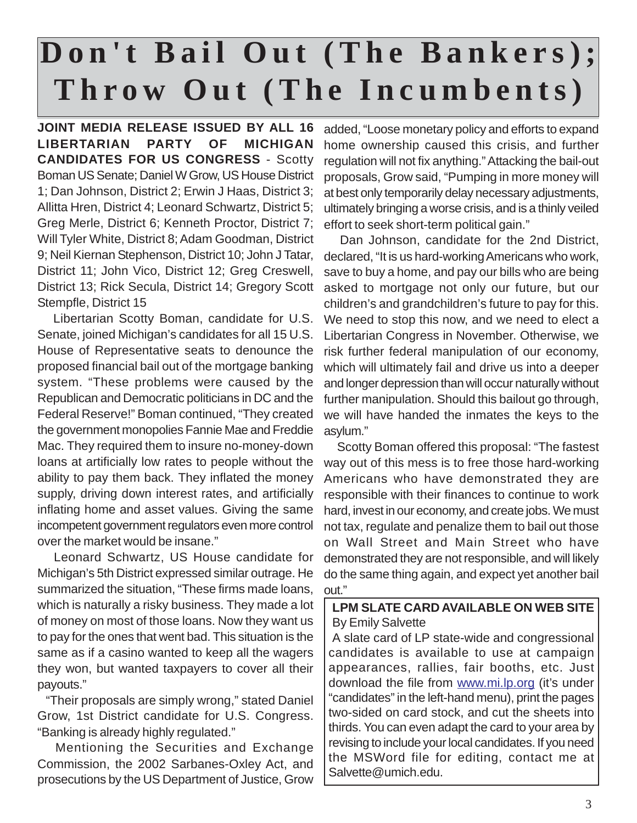## **Don't Bail Out (The Bankers); Throw Out (The Incumbents)**

**JOINT MEDIA RELEASE ISSUED BY ALL 16 LIBERTARIAN PARTY OF MICHIGAN CANDIDATES FOR US CONGRESS** - Scotty Boman US Senate; Daniel W Grow, US House District 1; Dan Johnson, District 2; Erwin J Haas, District 3; Allitta Hren, District 4; Leonard Schwartz, District 5; Greg Merle, District 6; Kenneth Proctor, District 7; Will Tyler White, District 8; Adam Goodman, District 9; Neil Kiernan Stephenson, District 10; John J Tatar, District 11; John Vico, District 12; Greg Creswell, District 13; Rick Secula, District 14; Gregory Scott Stempfle, District 15

 Libertarian Scotty Boman, candidate for U.S. Senate, joined Michigan's candidates for all 15 U.S. House of Representative seats to denounce the proposed financial bail out of the mortgage banking system. "These problems were caused by the Republican and Democratic politicians in DC and the Federal Reserve!" Boman continued, "They created the government monopolies Fannie Mae and Freddie Mac. They required them to insure no-money-down loans at artificially low rates to people without the ability to pay them back. They inflated the money supply, driving down interest rates, and artificially inflating home and asset values. Giving the same incompetent government regulators even more control over the market would be insane."

 Leonard Schwartz, US House candidate for Michigan's 5th District expressed similar outrage. He summarized the situation, "These firms made loans, which is naturally a risky business. They made a lot of money on most of those loans. Now they want us to pay for the ones that went bad. This situation is the same as if a casino wanted to keep all the wagers they won, but wanted taxpayers to cover all their payouts."

 "Their proposals are simply wrong," stated Daniel Grow, 1st District candidate for U.S. Congress. "Banking is already highly regulated."

 Mentioning the Securities and Exchange Commission, the 2002 Sarbanes-Oxley Act, and prosecutions by the US Department of Justice, Grow

added, "Loose monetary policy and efforts to expand home ownership caused this crisis, and further regulation will not fix anything." Attacking the bail-out proposals, Grow said, "Pumping in more money will at best only temporarily delay necessary adjustments, ultimately bringing a worse crisis, and is a thinly veiled effort to seek short-term political gain."

 Dan Johnson, candidate for the 2nd District, declared, "It is us hard-working Americans who work, save to buy a home, and pay our bills who are being asked to mortgage not only our future, but our children's and grandchildren's future to pay for this. We need to stop this now, and we need to elect a Libertarian Congress in November. Otherwise, we risk further federal manipulation of our economy, which will ultimately fail and drive us into a deeper and longer depression than will occur naturally without further manipulation. Should this bailout go through, we will have handed the inmates the keys to the asylum."

 Scotty Boman offered this proposal: "The fastest way out of this mess is to free those hard-working Americans who have demonstrated they are responsible with their finances to continue to work hard, invest in our economy, and create jobs. We must not tax, regulate and penalize them to bail out those on Wall Street and Main Street who have demonstrated they are not responsible, and will likely do the same thing again, and expect yet another bail out."

#### **LPM SLATE CARD AVAILABLE ON WEB SITE** By Emily Salvette

A slate card of LP state-wide and congressional candidates is available to use at campaign appearances, rallies, fair booths, etc. Just download the file from www.mi.lp.org (it's under "candidates" in the left-hand menu), print the pages two-sided on card stock, and cut the sheets into thirds. You can even adapt the card to your area by revising to include your local candidates. If you need the MSWord file for editing, contact me at Salvette@umich.edu.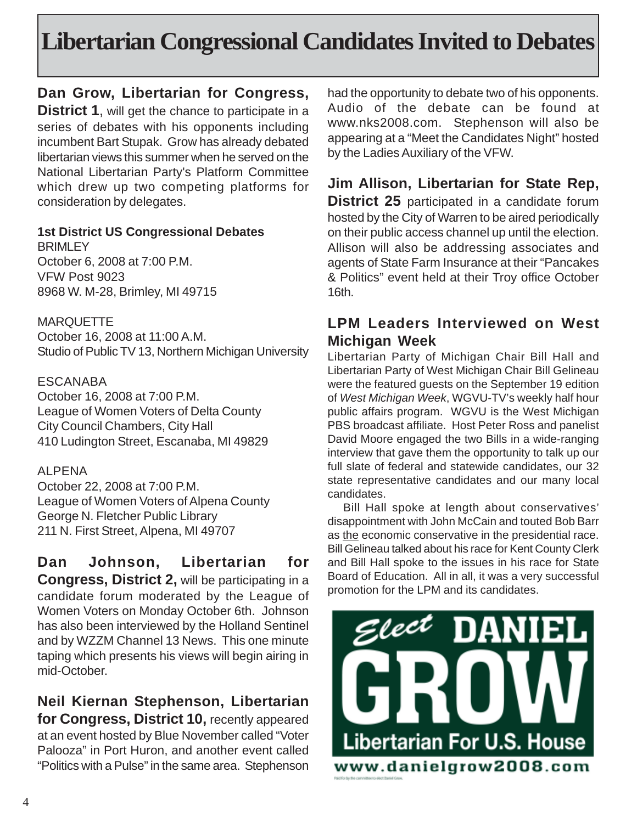### **Libertarian Congressional Candidates Invited to Debates**

#### **Dan Grow, Libertarian for Congress,**

**District 1**, will get the chance to participate in a series of debates with his opponents including incumbent Bart Stupak. Grow has already debated libertarian views this summer when he served on the National Libertarian Party's Platform Committee which drew up two competing platforms for consideration by delegates.

#### **1st District US Congressional Debates**

**BRIMLEY** October 6, 2008 at 7:00 P.M. VFW Post 9023 8968 W. M-28, Brimley, MI 49715

#### MARQUETTE

October 16, 2008 at 11:00 A.M. Studio of Public TV 13, Northern Michigan University

#### ESCANABA

October 16, 2008 at 7:00 P.M. League of Women Voters of Delta County City Council Chambers, City Hall 410 Ludington Street, Escanaba, MI 49829

#### ALPENA

October 22, 2008 at 7:00 P.M. League of Women Voters of Alpena County George N. Fletcher Public Library 211 N. First Street, Alpena, MI 49707

**Dan Johnson, Libertarian for Congress, District 2,** will be participating in a candidate forum moderated by the League of Women Voters on Monday October 6th. Johnson has also been interviewed by the Holland Sentinel and by WZZM Channel 13 News. This one minute taping which presents his views will begin airing in mid-October.

**Neil Kiernan Stephenson, Libertarian for Congress, District 10,** recently appeared at an event hosted by Blue November called "Voter Palooza" in Port Huron, and another event called "Politics with a Pulse" in the same area. Stephenson

had the opportunity to debate two of his opponents. Audio of the debate can be found at www.nks2008.com. Stephenson will also be appearing at a "Meet the Candidates Night" hosted by the Ladies Auxiliary of the VFW.

**Jim Allison, Libertarian for State Rep, District 25** participated in a candidate forum hosted by the City of Warren to be aired periodically on their public access channel up until the election. Allison will also be addressing associates and agents of State Farm Insurance at their "Pancakes & Politics" event held at their Troy office October 16th.

#### **LPM Leaders Interviewed on West Michigan Week**

Libertarian Party of Michigan Chair Bill Hall and Libertarian Party of West Michigan Chair Bill Gelineau were the featured guests on the September 19 edition of *West Michigan Week*, WGVU-TV's weekly half hour public affairs program. WGVU is the West Michigan PBS broadcast affiliate. Host Peter Ross and panelist David Moore engaged the two Bills in a wide-ranging interview that gave them the opportunity to talk up our full slate of federal and statewide candidates, our 32 state representative candidates and our many local candidates.

 Bill Hall spoke at length about conservatives' disappointment with John McCain and touted Bob Barr as the economic conservative in the presidential race. Bill Gelineau talked about his race for Kent County Clerk and Bill Hall spoke to the issues in his race for State Board of Education. All in all, it was a very successful promotion for the LPM and its candidates.

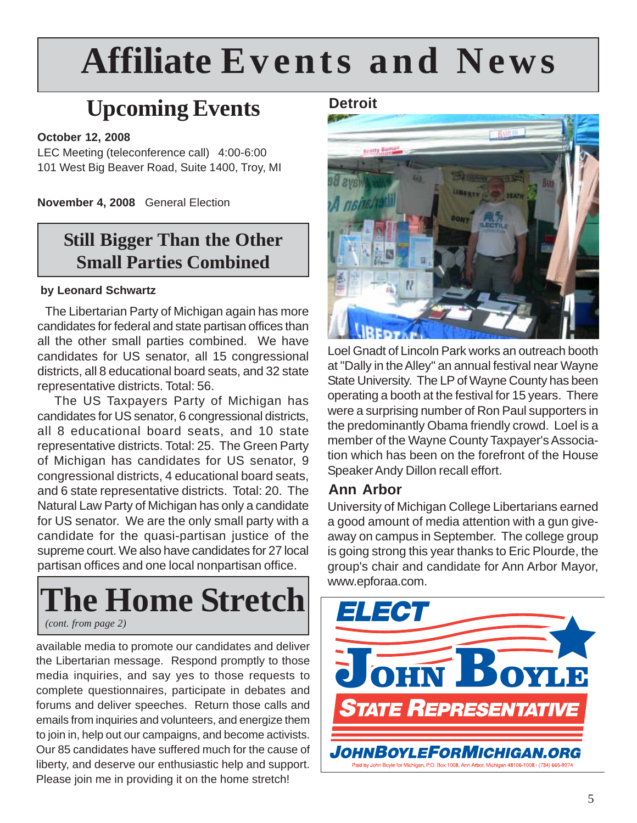## **Affiliate Events and News**

## **Upcoming Events**

#### **October 12, 2008**

LEC Meeting (teleconference call) 4:00-6:00 101 West Big Beaver Road, Suite 1400, Troy, MI

**November 4, 2008** General Election

#### **Still Bigger Than the Other Small Parties Combined**

#### **by Leonard Schwartz**

 The Libertarian Party of Michigan again has more candidates for federal and state partisan offices than all the other small parties combined. We have candidates for US senator, all 15 congressional districts, all 8 educational board seats, and 32 state representative districts. Total: 56.

 The US Taxpayers Party of Michigan has candidates for US senator, 6 congressional districts, all 8 educational board seats, and 10 state representative districts. Total: 25. The Green Party of Michigan has candidates for US senator, 9 congressional districts, 4 educational board seats, and 6 state representative districts. Total: 20. The Natural Law Party of Michigan has only a candidate for US senator. We are the only small party with a candidate for the quasi-partisan justice of the supreme court. We also have candidates for 27 local partisan offices and one local nonpartisan office.

#### **The Home Stretch** *(cont. from page 2)*

available media to promote our candidates and deliver the Libertarian message. Respond promptly to those media inquiries, and say yes to those requests to complete questionnaires, participate in debates and forums and deliver speeches. Return those calls and emails from inquiries and volunteers, and energize them to join in, help out our campaigns, and become activists. Our 85 candidates have suffered much for the cause of liberty, and deserve our enthusiastic help and support. Please join me in providing it on the home stretch!

#### **Detroit**



Loel Gnadt of Lincoln Park works an outreach booth at "Dally in the Alley" an annual festival near Wayne State University. The LP of Wayne County has been operating a booth at the festival for 15 years. There were a surprising number of Ron Paul supporters in the predominantly Obama friendly crowd. Loel is a member of the Wayne County Taxpayer's Association which has been on the forefront of the House Speaker Andy Dillon recall effort.

#### **Ann Arbor**

University of Michigan College Libertarians earned a good amount of media attention with a gun giveaway on campus in September. The college group is going strong this year thanks to Eric Plourde, the group's chair and candidate for Ann Arbor Mayor, www.epforaa.com.

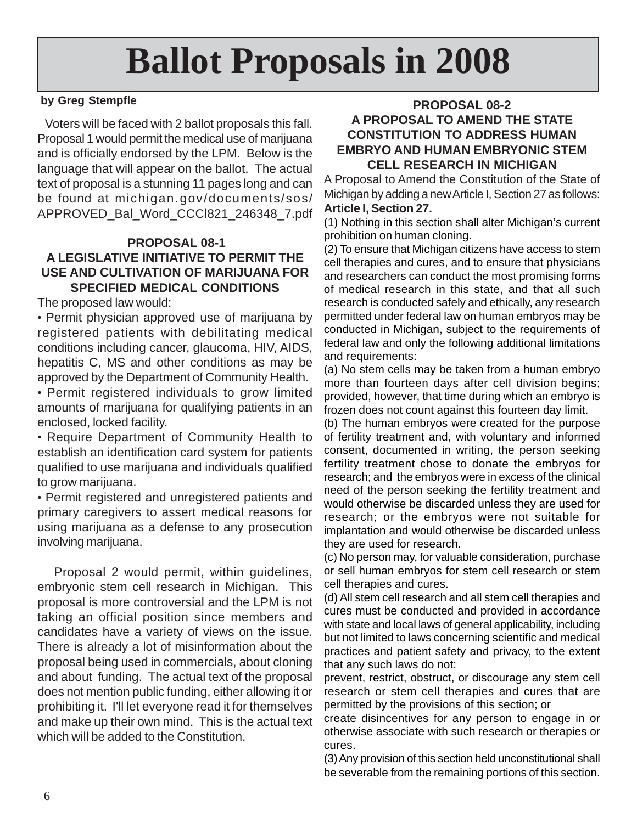## **Ballot Proposals in 2008**

#### **by Greg Stempfle**

 Voters will be faced with 2 ballot proposals this fall. Proposal 1 would permit the medical use of marijuana and is officially endorsed by the LPM. Below is the language that will appear on the ballot. The actual text of proposal is a stunning 11 pages long and can be found at michigan.gov/documents/sos/ APPROVED\_Bal\_Word\_CCCl821\_246348\_7.pdf

#### **PROPOSAL 08-1 A LEGISLATIVE INITIATIVE TO PERMIT THE USE AND CULTIVATION OF MARIJUANA FOR SPECIFIED MEDICAL CONDITIONS**

The proposed law would:

• Permit physician approved use of marijuana by registered patients with debilitating medical conditions including cancer, glaucoma, HIV, AIDS, hepatitis C, MS and other conditions as may be approved by the Department of Community Health.

• Permit registered individuals to grow limited amounts of marijuana for qualifying patients in an enclosed, locked facility.

• Require Department of Community Health to establish an identification card system for patients qualified to use marijuana and individuals qualified to grow marijuana.

• Permit registered and unregistered patients and primary caregivers to assert medical reasons for using marijuana as a defense to any prosecution involving marijuana.

 Proposal 2 would permit, within guidelines, embryonic stem cell research in Michigan. This proposal is more controversial and the LPM is not taking an official position since members and candidates have a variety of views on the issue. There is already a lot of misinformation about the proposal being used in commercials, about cloning and about funding. The actual text of the proposal does not mention public funding, either allowing it or prohibiting it. I'll let everyone read it for themselves and make up their own mind. This is the actual text which will be added to the Constitution.

#### **PROPOSAL 08-2 A PROPOSAL TO AMEND THE STATE CONSTITUTION TO ADDRESS HUMAN EMBRYO AND HUMAN EMBRYONIC STEM CELL RESEARCH IN MICHIGAN**

A Proposal to Amend the Constitution of the State of Michigan by adding a new Article I, Section 27 as follows: **Article I, Section 27.**

(1) Nothing in this section shall alter Michigan's current prohibition on human cloning.

(2) To ensure that Michigan citizens have access to stem cell therapies and cures, and to ensure that physicians and researchers can conduct the most promising forms of medical research in this state, and that all such research is conducted safely and ethically, any research permitted under federal law on human embryos may be conducted in Michigan, subject to the requirements of federal law and only the following additional limitations and requirements:

(a) No stem cells may be taken from a human embryo more than fourteen days after cell division begins; provided, however, that time during which an embryo is frozen does not count against this fourteen day limit.

(b) The human embryos were created for the purpose of fertility treatment and, with voluntary and informed consent, documented in writing, the person seeking fertility treatment chose to donate the embryos for research; and the embryos were in excess of the clinical need of the person seeking the fertility treatment and would otherwise be discarded unless they are used for research; or the embryos were not suitable for implantation and would otherwise be discarded unless they are used for research.

(c) No person may, for valuable consideration, purchase or sell human embryos for stem cell research or stem cell therapies and cures.

(d) All stem cell research and all stem cell therapies and cures must be conducted and provided in accordance with state and local laws of general applicability, including but not limited to laws concerning scientific and medical practices and patient safety and privacy, to the extent that any such laws do not:

prevent, restrict, obstruct, or discourage any stem cell research or stem cell therapies and cures that are permitted by the provisions of this section; or

create disincentives for any person to engage in or otherwise associate with such research or therapies or cures.

(3) Any provision of this section held unconstitutional shall be severable from the remaining portions of this section.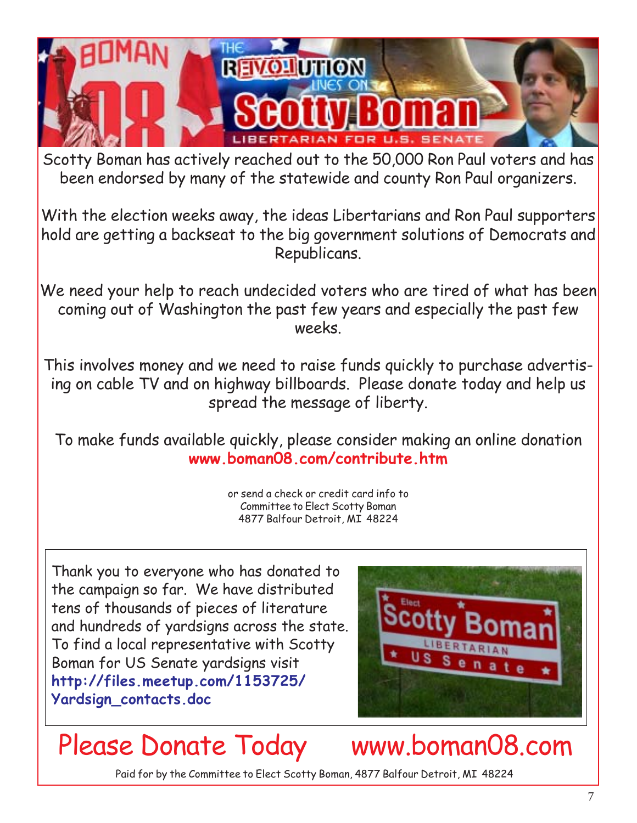

Scotty Boman has actively reached out to the 50,000 Ron Paul voters and has been endorsed by many of the statewide and county Ron Paul organizers.

With the election weeks away, the ideas Libertarians and Ron Paul supporters hold are getting a backseat to the big government solutions of Democrats and Republicans.

We need your help to reach undecided voters who are tired of what has been coming out of Washington the past few years and especially the past few weeks.

This involves money and we need to raise funds quickly to purchase advertising on cable TV and on highway billboards. Please donate today and help us spread the message of liberty.

To make funds available quickly, please consider making an online donation **www.boman08.com/contribute.htm**

> or send a check or credit card info to Committee to Elect Scotty Boman 4877 Balfour Detroit, MI 48224

Thank you to everyone who has donated to the campaign so far. We have distributed tens of thousands of pieces of literature and hundreds of yardsigns across the state. To find a local representative with Scotty Boman for US Senate yardsigns visit **http://files.meetup.com/1153725/ Yardsign\_contacts.doc**



Please Donate Today www.boman08.com

Paid for by the Committee to Elect Scotty Boman, 4877 Balfour Detroit, MI 48224